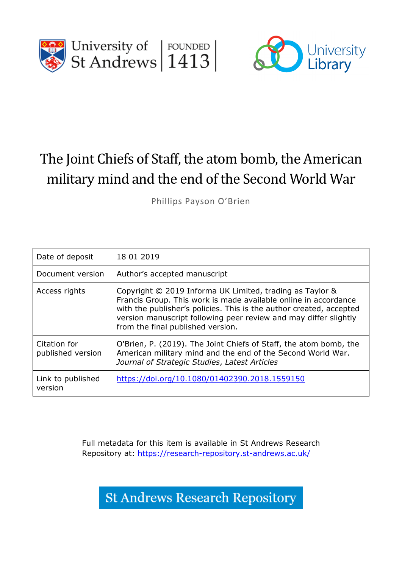



# The Joint Chiefs of Staff, the atom bomb, the American military mind and the end of the Second World War

Phillips Payson O'Brien

| Date of deposit                   | 18 01 2019                                                                                                                                                                                                                                                                                                  |
|-----------------------------------|-------------------------------------------------------------------------------------------------------------------------------------------------------------------------------------------------------------------------------------------------------------------------------------------------------------|
| Document version                  | Author's accepted manuscript                                                                                                                                                                                                                                                                                |
| Access rights                     | Copyright © 2019 Informa UK Limited, trading as Taylor &<br>Francis Group. This work is made available online in accordance<br>with the publisher's policies. This is the author created, accepted<br>version manuscript following peer review and may differ slightly<br>from the final published version. |
| Citation for<br>published version | O'Brien, P. (2019). The Joint Chiefs of Staff, the atom bomb, the<br>American military mind and the end of the Second World War.<br>Journal of Strategic Studies, Latest Articles                                                                                                                           |
| Link to published<br>version      | https://doi.org/10.1080/01402390.2018.1559150                                                                                                                                                                                                                                                               |

Full metadata for this item is available in St Andrews Research Repository at:<https://research-repository.st-andrews.ac.uk/>

**St Andrews Research Repository**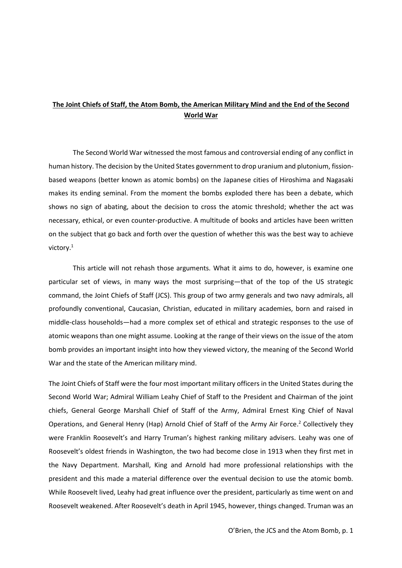# **The Joint Chiefs of Staff, the Atom Bomb, the American Military Mind and the End of the Second World War**

The Second World War witnessed the most famous and controversial ending of any conflict in human history. The decision by the United States government to drop uranium and plutonium, fissionbased weapons (better known as atomic bombs) on the Japanese cities of Hiroshima and Nagasaki makes its ending seminal. From the moment the bombs exploded there has been a debate, which shows no sign of abating, about the decision to cross the atomic threshold; whether the act was necessary, ethical, or even counter-productive. A multitude of books and articles have been written on the subject that go back and forth over the question of whether this was the best way to achieve victory. 1

This article will not rehash those arguments. What it aims to do, however, is examine one particular set of views, in many ways the most surprising—that of the top of the US strategic command, the Joint Chiefs of Staff (JCS). This group of two army generals and two navy admirals, all profoundly conventional, Caucasian, Christian, educated in military academies, born and raised in middle-class households—had a more complex set of ethical and strategic responses to the use of atomic weapons than one might assume. Looking at the range of their views on the issue of the atom bomb provides an important insight into how they viewed victory, the meaning of the Second World War and the state of the American military mind.

The Joint Chiefs of Staff were the four most important military officers in the United States during the Second World War; Admiral William Leahy Chief of Staff to the President and Chairman of the joint chiefs, General George Marshall Chief of Staff of the Army, Admiral Ernest King Chief of Naval Operations, and General Henry (Hap) Arnold Chief of Staff of the Army Air Force.<sup>2</sup> Collectively they were Franklin Roosevelt's and Harry Truman's highest ranking military advisers. Leahy was one of Roosevelt's oldest friends in Washington, the two had become close in 1913 when they first met in the Navy Department. Marshall, King and Arnold had more professional relationships with the president and this made a material difference over the eventual decision to use the atomic bomb. While Roosevelt lived, Leahy had great influence over the president, particularly as time went on and Roosevelt weakened. After Roosevelt's death in April 1945, however, things changed. Truman was an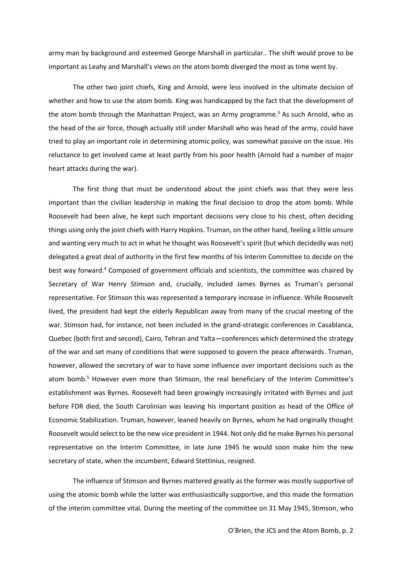army man by background and esteemed George Marshall in particular.. The shift would prove to be important as Leahy and Marshall's views on the atom bomb diverged the most as time went by.

The other two joint chiefs, King and Arnold, were less involved in the ultimate decision of whether and how to use the atom bomb. King was handicapped by the fact that the development of the atom bomb through the Manhattan Project, was an Army programme. <sup>3</sup> As such Arnold, who as the head of the air force, though actually still under Marshall who was head of the army, could have tried to play an important role in determining atomic policy, was somewhat passive on the issue. His reluctance to get involved came at least partly from his poor health (Arnold had a number of major heart attacks during the war).

The first thing that must be understood about the joint chiefs was that they were less important than the civilian leadership in making the final decision to drop the atom bomb. While Roosevelt had been alive, he kept such important decisions very close to his chest, often deciding things using only the joint chiefs with Harry Hopkins. Truman, on the other hand, feeling a little unsure and wanting very much to act in what he thought was Roosevelt's spirit (but which decidedly was not) delegated a great deal of authority in the first few months of his Interim Committee to decide on the best way forward.<sup>4</sup> Composed of government officials and scientists, the committee was chaired by Secretary of War Henry Stimson and, crucially, included James Byrnes as Truman's personal representative. For Stimson this was represented a temporary increase in influence. While Roosevelt lived, the president had kept the elderly Republican away from many of the crucial meeting of the war. Stimson had, for instance, not been included in the grand-strategic conferences in Casablanca, Quebec (both first and second), Cairo, Tehran and Yalta—conferences which determined the strategy of the war and set many of conditions that were supposed to govern the peace afterwards. Truman, however, allowed the secretary of war to have some influence over important decisions such as the atom bomb. <sup>5</sup> However even more than Stimson, the real beneficiary of the Interim Committee's establishment was Byrnes. Roosevelt had been growingly increasingly irritated with Byrnes and just before FDR died, the South Carolinian was leaving his important position as head of the Office of Economic Stabilization. Truman, however, leaned heavily on Byrnes, whom he had originally thought Roosevelt would select to be the new vice president in 1944. Not only did he make Byrnes his personal representative on the Interim Committee, in late June 1945 he would soon make him the new secretary of state, when the incumbent, Edward Stettinius, resigned.

The influence of Stimson and Byrnes mattered greatly as the former was mostly supportive of using the atomic bomb while the latter was enthusiastically supportive, and this made the formation of the interim committee vital. During the meeting of the committee on 31 May 1945, Stimson, who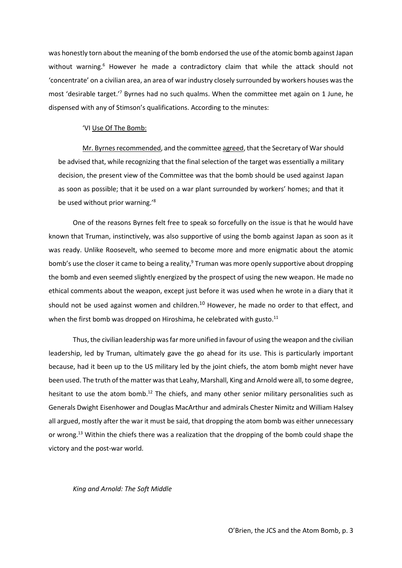was honestly torn about the meaning of the bomb endorsed the use of the atomic bomb against Japan without warning.<sup>6</sup> However he made a contradictory claim that while the attack should not 'concentrate' on a civilian area, an area of war industry closely surrounded by workers houses was the most 'desirable target.'<sup>7</sup> Byrnes had no such qualms. When the committee met again on 1 June, he dispensed with any of Stimson's qualifications. According to the minutes:

### 'VI Use Of The Bomb:

Mr. Byrnes recommended, and the committee agreed, that the Secretary of War should be advised that, while recognizing that the final selection of the target was essentially a military decision, the present view of the Committee was that the bomb should be used against Japan as soon as possible; that it be used on a war plant surrounded by workers' homes; and that it be used without prior warning.'<sup>8</sup>

One of the reasons Byrnes felt free to speak so forcefully on the issue is that he would have known that Truman, instinctively, was also supportive of using the bomb against Japan as soon as it was ready. Unlike Roosevelt, who seemed to become more and more enigmatic about the atomic bomb's use the closer it came to being a reality,<sup>9</sup> Truman was more openly supportive about dropping the bomb and even seemed slightly energized by the prospect of using the new weapon. He made no ethical comments about the weapon, except just before it was used when he wrote in a diary that it should not be used against women and children.<sup>10</sup> However, he made no order to that effect, and when the first bomb was dropped on Hiroshima, he celebrated with gusto.<sup>11</sup>

Thus, the civilian leadership was far more unified in favour of using the weapon and the civilian leadership, led by Truman, ultimately gave the go ahead for its use. This is particularly important because, had it been up to the US military led by the joint chiefs, the atom bomb might never have been used. The truth of the matter was that Leahy, Marshall, King and Arnold were all, to some degree, hesitant to use the atom bomb.<sup>12</sup> The chiefs, and many other senior military personalities such as Generals Dwight Eisenhower and Douglas MacArthur and admirals Chester Nimitz and William Halsey all argued, mostly after the war it must be said, that dropping the atom bomb was either unnecessary or wrong.<sup>13</sup> Within the chiefs there was a realization that the dropping of the bomb could shape the victory and the post-war world.

# *King and Arnold: The Soft Middle*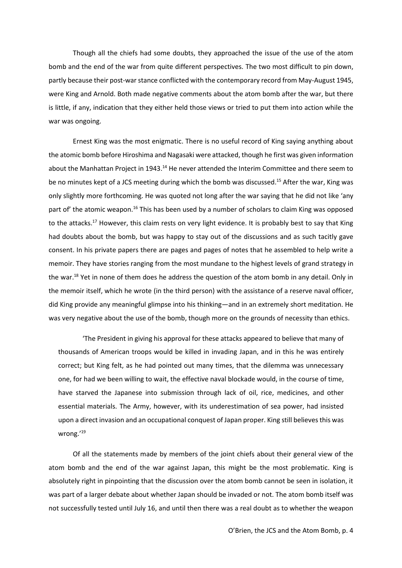Though all the chiefs had some doubts, they approached the issue of the use of the atom bomb and the end of the war from quite different perspectives. The two most difficult to pin down, partly because their post-war stance conflicted with the contemporary record from May-August 1945, were King and Arnold. Both made negative comments about the atom bomb after the war, but there is little, if any, indication that they either held those views or tried to put them into action while the war was ongoing.

Ernest King was the most enigmatic. There is no useful record of King saying anything about the atomic bomb before Hiroshima and Nagasaki were attacked, though he first was given information about the Manhattan Project in 1943.<sup>14</sup> He never attended the Interim Committee and there seem to be no minutes kept of a JCS meeting during which the bomb was discussed.<sup>15</sup> After the war, King was only slightly more forthcoming. He was quoted not long after the war saying that he did not like 'any part of' the atomic weapon.<sup>16</sup> This has been used by a number of scholars to claim King was opposed to the attacks.<sup>17</sup> However, this claim rests on very light evidence. It is probably best to say that King had doubts about the bomb, but was happy to stay out of the discussions and as such tacitly gave consent. In his private papers there are pages and pages of notes that he assembled to help write a memoir. They have stories ranging from the most mundane to the highest levels of grand strategy in the war.<sup>18</sup> Yet in none of them does he address the question of the atom bomb in any detail. Only in the memoir itself, which he wrote (in the third person) with the assistance of a reserve naval officer, did King provide any meaningful glimpse into his thinking—and in an extremely short meditation. He was very negative about the use of the bomb, though more on the grounds of necessity than ethics.

'The President in giving his approval for these attacks appeared to believe that many of thousands of American troops would be killed in invading Japan, and in this he was entirely correct; but King felt, as he had pointed out many times, that the dilemma was unnecessary one, for had we been willing to wait, the effective naval blockade would, in the course of time, have starved the Japanese into submission through lack of oil, rice, medicines, and other essential materials. The Army, however, with its underestimation of sea power, had insisted upon a direct invasion and an occupational conquest of Japan proper. King still believes this was wrong.'<sup>19</sup>

Of all the statements made by members of the joint chiefs about their general view of the atom bomb and the end of the war against Japan, this might be the most problematic. King is absolutely right in pinpointing that the discussion over the atom bomb cannot be seen in isolation, it was part of a larger debate about whether Japan should be invaded or not. The atom bomb itself was not successfully tested until July 16, and until then there was a real doubt as to whether the weapon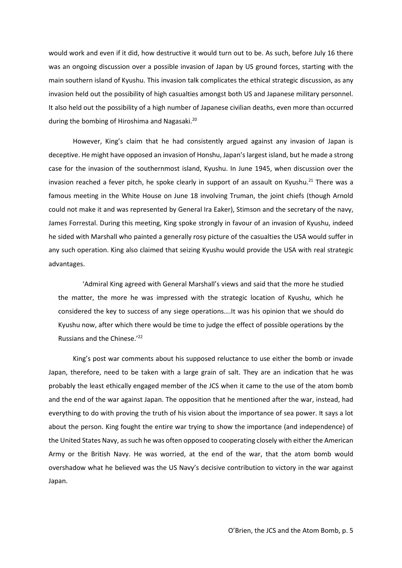would work and even if it did, how destructive it would turn out to be. As such, before July 16 there was an ongoing discussion over a possible invasion of Japan by US ground forces, starting with the main southern island of Kyushu. This invasion talk complicates the ethical strategic discussion, as any invasion held out the possibility of high casualties amongst both US and Japanese military personnel. It also held out the possibility of a high number of Japanese civilian deaths, even more than occurred during the bombing of Hiroshima and Nagasaki.<sup>20</sup>

However, King's claim that he had consistently argued against any invasion of Japan is deceptive. He might have opposed an invasion of Honshu, Japan's largest island, but he made a strong case for the invasion of the southernmost island, Kyushu. In June 1945, when discussion over the invasion reached a fever pitch, he spoke clearly in support of an assault on Kyushu.<sup>21</sup> There was a famous meeting in the White House on June 18 involving Truman, the joint chiefs (though Arnold could not make it and was represented by General Ira Eaker), Stimson and the secretary of the navy, James Forrestal. During this meeting, King spoke strongly in favour of an invasion of Kyushu, indeed he sided with Marshall who painted a generally rosy picture of the casualties the USA would suffer in any such operation. King also claimed that seizing Kyushu would provide the USA with real strategic advantages.

'Admiral King agreed with General Marshall's views and said that the more he studied the matter, the more he was impressed with the strategic location of Kyushu, which he considered the key to success of any siege operations….It was his opinion that we should do Kyushu now, after which there would be time to judge the effect of possible operations by the Russians and the Chinese.'<sup>22</sup>

King's post war comments about his supposed reluctance to use either the bomb or invade Japan, therefore, need to be taken with a large grain of salt. They are an indication that he was probably the least ethically engaged member of the JCS when it came to the use of the atom bomb and the end of the war against Japan. The opposition that he mentioned after the war, instead, had everything to do with proving the truth of his vision about the importance of sea power. It says a lot about the person. King fought the entire war trying to show the importance (and independence) of the United States Navy, as such he was often opposed to cooperating closely with either the American Army or the British Navy. He was worried, at the end of the war, that the atom bomb would overshadow what he believed was the US Navy's decisive contribution to victory in the war against Japan.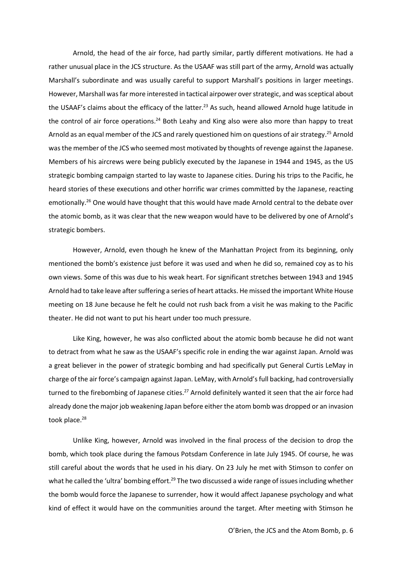Arnold, the head of the air force, had partly similar, partly different motivations. He had a rather unusual place in the JCS structure. As the USAAF was still part of the army, Arnold was actually Marshall's subordinate and was usually careful to support Marshall's positions in larger meetings. However, Marshall was far more interested in tactical airpower over strategic, and was sceptical about the USAAF's claims about the efficacy of the latter.<sup>23</sup> As such, heand allowed Arnold huge latitude in the control of air force operations.<sup>24</sup> Both Leahy and King also were also more than happy to treat Arnold as an equal member of the JCS and rarely questioned him on questions of air strategy.<sup>25</sup> Arnold was the member of the JCS who seemed most motivated by thoughts of revenge against the Japanese. Members of his aircrews were being publicly executed by the Japanese in 1944 and 1945, as the US strategic bombing campaign started to lay waste to Japanese cities. During his trips to the Pacific, he heard stories of these executions and other horrific war crimes committed by the Japanese, reacting emotionally.<sup>26</sup> One would have thought that this would have made Arnold central to the debate over the atomic bomb, as it was clear that the new weapon would have to be delivered by one of Arnold's strategic bombers.

However, Arnold, even though he knew of the Manhattan Project from its beginning, only mentioned the bomb's existence just before it was used and when he did so, remained coy as to his own views. Some of this was due to his weak heart. For significant stretches between 1943 and 1945 Arnold had to take leave after suffering a series of heart attacks. He missed the important White House meeting on 18 June because he felt he could not rush back from a visit he was making to the Pacific theater. He did not want to put his heart under too much pressure.

Like King, however, he was also conflicted about the atomic bomb because he did not want to detract from what he saw as the USAAF's specific role in ending the war against Japan. Arnold was a great believer in the power of strategic bombing and had specifically put General Curtis LeMay in charge of the air force's campaign against Japan. LeMay, with Arnold's full backing, had controversially turned to the firebombing of Japanese cities.<sup>27</sup> Arnold definitely wanted it seen that the air force had already done the major job weakening Japan before either the atom bomb was dropped or an invasion took place.<sup>28</sup>

Unlike King, however, Arnold was involved in the final process of the decision to drop the bomb, which took place during the famous Potsdam Conference in late July 1945. Of course, he was still careful about the words that he used in his diary. On 23 July he met with Stimson to confer on what he called the 'ultra' bombing effort.<sup>29</sup> The two discussed a wide range of issues including whether the bomb would force the Japanese to surrender, how it would affect Japanese psychology and what kind of effect it would have on the communities around the target. After meeting with Stimson he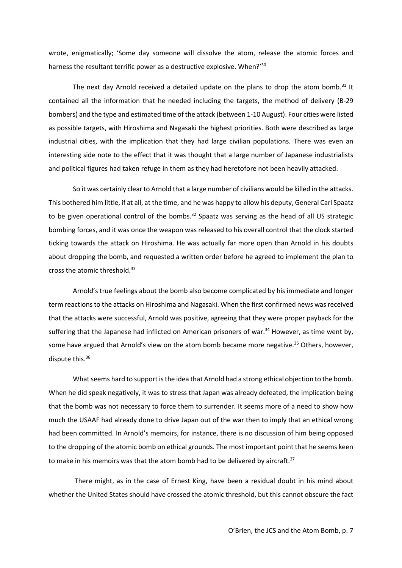wrote, enigmatically; 'Some day someone will dissolve the atom, release the atomic forces and harness the resultant terrific power as a destructive explosive. When?'<sup>30</sup>

The next day Arnold received a detailed update on the plans to drop the atom bomb.<sup>31</sup> It contained all the information that he needed including the targets, the method of delivery (B-29 bombers) and the type and estimated time of the attack (between 1-10 August). Four cities were listed as possible targets, with Hiroshima and Nagasaki the highest priorities. Both were described as large industrial cities, with the implication that they had large civilian populations. There was even an interesting side note to the effect that it was thought that a large number of Japanese industrialists and political figures had taken refuge in them as they had heretofore not been heavily attacked.

So it was certainly clear to Arnold that a large number of civilians would be killed in the attacks. This bothered him little, if at all, at the time, and he was happy to allow his deputy, General Carl Spaatz to be given operational control of the bombs.<sup>32</sup> Spaatz was serving as the head of all US strategic bombing forces, and it was once the weapon was released to his overall control that the clock started ticking towards the attack on Hiroshima. He was actually far more open than Arnold in his doubts about dropping the bomb, and requested a written order before he agreed to implement the plan to cross the atomic threshold. 33

Arnold's true feelings about the bomb also become complicated by his immediate and longer term reactions to the attacks on Hiroshima and Nagasaki. When the first confirmed news was received that the attacks were successful, Arnold was positive, agreeing that they were proper payback for the suffering that the Japanese had inflicted on American prisoners of war.<sup>34</sup> However, as time went by, some have argued that Arnold's view on the atom bomb became more negative.<sup>35</sup> Others, however, dispute this.<sup>36</sup>

What seems hard to support is the idea that Arnold had a strong ethical objection to the bomb. When he did speak negatively, it was to stress that Japan was already defeated, the implication being that the bomb was not necessary to force them to surrender. It seems more of a need to show how much the USAAF had already done to drive Japan out of the war then to imply that an ethical wrong had been committed. In Arnold's memoirs, for instance, there is no discussion of him being opposed to the dropping of the atomic bomb on ethical grounds. The most important point that he seems keen to make in his memoirs was that the atom bomb had to be delivered by aircraft.<sup>37</sup>

There might, as in the case of Ernest King, have been a residual doubt in his mind about whether the United States should have crossed the atomic threshold, but this cannot obscure the fact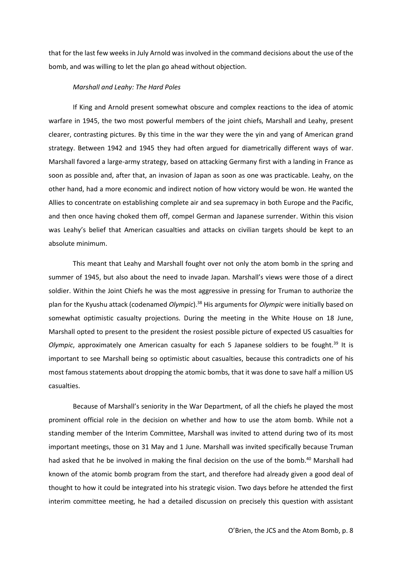that for the last few weeks in July Arnold was involved in the command decisions about the use of the bomb, and was willing to let the plan go ahead without objection.

## *Marshall and Leahy: The Hard Poles*

If King and Arnold present somewhat obscure and complex reactions to the idea of atomic warfare in 1945, the two most powerful members of the joint chiefs, Marshall and Leahy, present clearer, contrasting pictures. By this time in the war they were the yin and yang of American grand strategy. Between 1942 and 1945 they had often argued for diametrically different ways of war. Marshall favored a large-army strategy, based on attacking Germany first with a landing in France as soon as possible and, after that, an invasion of Japan as soon as one was practicable. Leahy, on the other hand, had a more economic and indirect notion of how victory would be won. He wanted the Allies to concentrate on establishing complete air and sea supremacy in both Europe and the Pacific, and then once having choked them off, compel German and Japanese surrender. Within this vision was Leahy's belief that American casualties and attacks on civilian targets should be kept to an absolute minimum.

This meant that Leahy and Marshall fought over not only the atom bomb in the spring and summer of 1945, but also about the need to invade Japan. Marshall's views were those of a direct soldier. Within the Joint Chiefs he was the most aggressive in pressing for Truman to authorize the plan for the Kyushu attack (codenamed *Olympic*).<sup>38</sup> His arguments for *Olympic* were initially based on somewhat optimistic casualty projections. During the meeting in the White House on 18 June, Marshall opted to present to the president the rosiest possible picture of expected US casualties for *Olympic*, approximately one American casualty for each 5 Japanese soldiers to be fought.<sup>39</sup> It is important to see Marshall being so optimistic about casualties, because this contradicts one of his most famous statements about dropping the atomic bombs, that it was done to save half a million US casualties.

Because of Marshall's seniority in the War Department, of all the chiefs he played the most prominent official role in the decision on whether and how to use the atom bomb. While not a standing member of the Interim Committee, Marshall was invited to attend during two of its most important meetings, those on 31 May and 1 June. Marshall was invited specifically because Truman had asked that he be involved in making the final decision on the use of the bomb.<sup>40</sup> Marshall had known of the atomic bomb program from the start, and therefore had already given a good deal of thought to how it could be integrated into his strategic vision. Two days before he attended the first interim committee meeting, he had a detailed discussion on precisely this question with assistant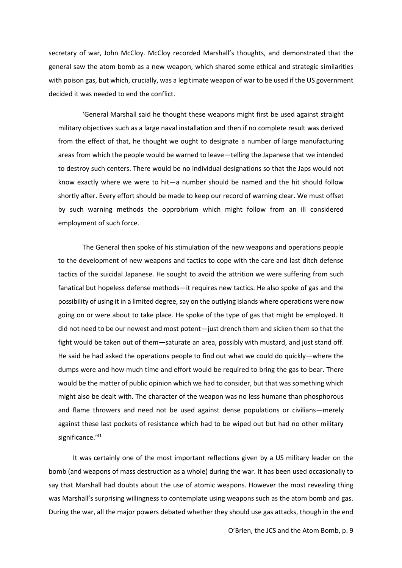secretary of war, John McCloy. McCloy recorded Marshall's thoughts, and demonstrated that the general saw the atom bomb as a new weapon, which shared some ethical and strategic similarities with poison gas, but which, crucially, was a legitimate weapon of war to be used if the US government decided it was needed to end the conflict.

'General Marshall said he thought these weapons might first be used against straight military objectives such as a large naval installation and then if no complete result was derived from the effect of that, he thought we ought to designate a number of large manufacturing areas from which the people would be warned to leave—telling the Japanese that we intended to destroy such centers. There would be no individual designations so that the Japs would not know exactly where we were to hit—a number should be named and the hit should follow shortly after. Every effort should be made to keep our record of warning clear. We must offset by such warning methods the opprobrium which might follow from an ill considered employment of such force.

The General then spoke of his stimulation of the new weapons and operations people to the development of new weapons and tactics to cope with the care and last ditch defense tactics of the suicidal Japanese. He sought to avoid the attrition we were suffering from such fanatical but hopeless defense methods—it requires new tactics. He also spoke of gas and the possibility of using it in a limited degree, say on the outlying islands where operations were now going on or were about to take place. He spoke of the type of gas that might be employed. It did not need to be our newest and most potent—just drench them and sicken them so that the fight would be taken out of them—saturate an area, possibly with mustard, and just stand off. He said he had asked the operations people to find out what we could do quickly—where the dumps were and how much time and effort would be required to bring the gas to bear. There would be the matter of public opinion which we had to consider, but that was something which might also be dealt with. The character of the weapon was no less humane than phosphorous and flame throwers and need not be used against dense populations or civilians—merely against these last pockets of resistance which had to be wiped out but had no other military significance.<sup>'41</sup>

It was certainly one of the most important reflections given by a US military leader on the bomb (and weapons of mass destruction as a whole) during the war. It has been used occasionally to say that Marshall had doubts about the use of atomic weapons. However the most revealing thing was Marshall's surprising willingness to contemplate using weapons such as the atom bomb and gas. During the war, all the major powers debated whether they should use gas attacks, though in the end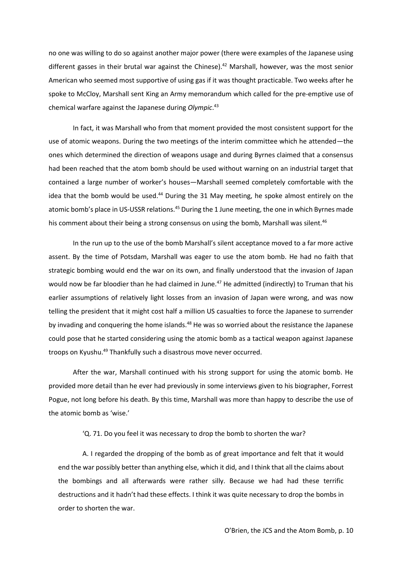no one was willing to do so against another major power (there were examples of the Japanese using different gasses in their brutal war against the Chinese).<sup>42</sup> Marshall, however, was the most senior American who seemed most supportive of using gas if it was thought practicable. Two weeks after he spoke to McCloy, Marshall sent King an Army memorandum which called for the pre-emptive use of chemical warfare against the Japanese during *Olympic*. 43

In fact, it was Marshall who from that moment provided the most consistent support for the use of atomic weapons. During the two meetings of the interim committee which he attended—the ones which determined the direction of weapons usage and during Byrnes claimed that a consensus had been reached that the atom bomb should be used without warning on an industrial target that contained a large number of worker's houses—Marshall seemed completely comfortable with the idea that the bomb would be used.<sup>44</sup> During the 31 May meeting, he spoke almost entirely on the atomic bomb's place in US-USSR relations.<sup>45</sup> During the 1 June meeting, the one in which Byrnes made his comment about their being a strong consensus on using the bomb, Marshall was silent.<sup>46</sup>

In the run up to the use of the bomb Marshall's silent acceptance moved to a far more active assent. By the time of Potsdam, Marshall was eager to use the atom bomb. He had no faith that strategic bombing would end the war on its own, and finally understood that the invasion of Japan would now be far bloodier than he had claimed in June.<sup>47</sup> He admitted (indirectly) to Truman that his earlier assumptions of relatively light losses from an invasion of Japan were wrong, and was now telling the president that it might cost half a million US casualties to force the Japanese to surrender by invading and conquering the home islands.<sup>48</sup> He was so worried about the resistance the Japanese could pose that he started considering using the atomic bomb as a tactical weapon against Japanese troops on Kyushu.<sup>49</sup> Thankfully such a disastrous move never occurred.

After the war, Marshall continued with his strong support for using the atomic bomb. He provided more detail than he ever had previously in some interviews given to his biographer, Forrest Pogue, not long before his death. By this time, Marshall was more than happy to describe the use of the atomic bomb as 'wise.'

'Q. 71. Do you feel it was necessary to drop the bomb to shorten the war?

A. I regarded the dropping of the bomb as of great importance and felt that it would end the war possibly better than anything else, which it did, and I think that all the claims about the bombings and all afterwards were rather silly. Because we had had these terrific destructions and it hadn't had these effects. I think it was quite necessary to drop the bombs in order to shorten the war.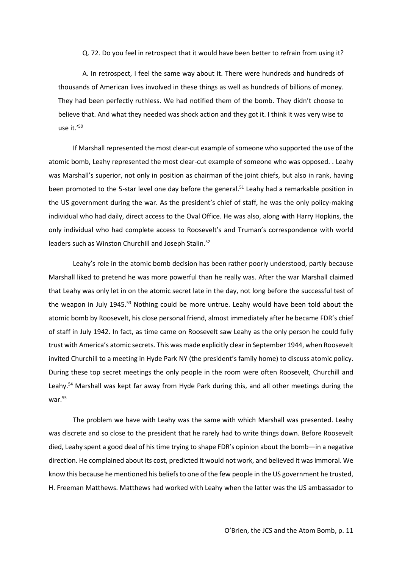Q. 72. Do you feel in retrospect that it would have been better to refrain from using it?

A. In retrospect, I feel the same way about it. There were hundreds and hundreds of thousands of American lives involved in these things as well as hundreds of billions of money. They had been perfectly ruthless. We had notified them of the bomb. They didn't choose to believe that. And what they needed was shock action and they got it. I think it was very wise to use it.'<sup>50</sup>

If Marshall represented the most clear-cut example of someone who supported the use of the atomic bomb, Leahy represented the most clear-cut example of someone who was opposed. . Leahy was Marshall's superior, not only in position as chairman of the joint chiefs, but also in rank, having been promoted to the 5-star level one day before the general.<sup>51</sup> Leahy had a remarkable position in the US government during the war. As the president's chief of staff, he was the only policy-making individual who had daily, direct access to the Oval Office. He was also, along with Harry Hopkins, the only individual who had complete access to Roosevelt's and Truman's correspondence with world leaders such as Winston Churchill and Joseph Stalin.<sup>52</sup>

Leahy's role in the atomic bomb decision has been rather poorly understood, partly because Marshall liked to pretend he was more powerful than he really was. After the war Marshall claimed that Leahy was only let in on the atomic secret late in the day, not long before the successful test of the weapon in July 1945.<sup>53</sup> Nothing could be more untrue. Leahy would have been told about the atomic bomb by Roosevelt, his close personal friend, almost immediately after he became FDR's chief of staff in July 1942. In fact, as time came on Roosevelt saw Leahy as the only person he could fully trust with America's atomic secrets. This was made explicitly clear in September 1944, when Roosevelt invited Churchill to a meeting in Hyde Park NY (the president's family home) to discuss atomic policy. During these top secret meetings the only people in the room were often Roosevelt, Churchill and Leahy.<sup>54</sup> Marshall was kept far away from Hyde Park during this, and all other meetings during the war. 55

The problem we have with Leahy was the same with which Marshall was presented. Leahy was discrete and so close to the president that he rarely had to write things down. Before Roosevelt died, Leahy spent a good deal of his time trying to shape FDR's opinion about the bomb—in a negative direction. He complained about its cost, predicted it would not work, and believed it was immoral. We know this because he mentioned his beliefs to one of the few people in the US government he trusted, H. Freeman Matthews. Matthews had worked with Leahy when the latter was the US ambassador to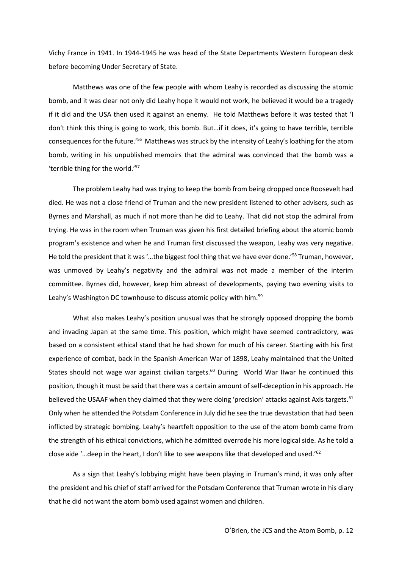Vichy France in 1941. In 1944-1945 he was head of the State Departments Western European desk before becoming Under Secretary of State.

Matthews was one of the few people with whom Leahy is recorded as discussing the atomic bomb, and it was clear not only did Leahy hope it would not work, he believed it would be a tragedy if it did and the USA then used it against an enemy. He told Matthews before it was tested that 'I don't think this thing is going to work, this bomb. But…if it does, it's going to have terrible, terrible consequences for the future.'<sup>56</sup> Matthews was struck by the intensity of Leahy's loathing for the atom bomb, writing in his unpublished memoirs that the admiral was convinced that the bomb was a 'terrible thing for the world.'<sup>57</sup>

The problem Leahy had was trying to keep the bomb from being dropped once Roosevelt had died. He was not a close friend of Truman and the new president listened to other advisers, such as Byrnes and Marshall, as much if not more than he did to Leahy. That did not stop the admiral from trying. He was in the room when Truman was given his first detailed briefing about the atomic bomb program's existence and when he and Truman first discussed the weapon, Leahy was very negative. He told the president that it was '...the biggest fool thing that we have ever done.'<sup>58</sup> Truman, however, was unmoved by Leahy's negativity and the admiral was not made a member of the interim committee. Byrnes did, however, keep him abreast of developments, paying two evening visits to Leahy's Washington DC townhouse to discuss atomic policy with him.<sup>59</sup>

What also makes Leahy's position unusual was that he strongly opposed dropping the bomb and invading Japan at the same time. This position, which might have seemed contradictory, was based on a consistent ethical stand that he had shown for much of his career. Starting with his first experience of combat, back in the Spanish-American War of 1898, Leahy maintained that the United States should not wage war against civilian targets.<sup>60</sup> During World War IIwar he continued this position, though it must be said that there was a certain amount of self-deception in his approach. He believed the USAAF when they claimed that they were doing 'precision' attacks against Axis targets.<sup>61</sup> Only when he attended the Potsdam Conference in July did he see the true devastation that had been inflicted by strategic bombing. Leahy's heartfelt opposition to the use of the atom bomb came from the strength of his ethical convictions, which he admitted overrode his more logical side. As he told a close aide '…deep in the heart, I don't like to see weapons like that developed and used.'<sup>62</sup>

As a sign that Leahy's lobbying might have been playing in Truman's mind, it was only after the president and his chief of staff arrived for the Potsdam Conference that Truman wrote in his diary that he did not want the atom bomb used against women and children.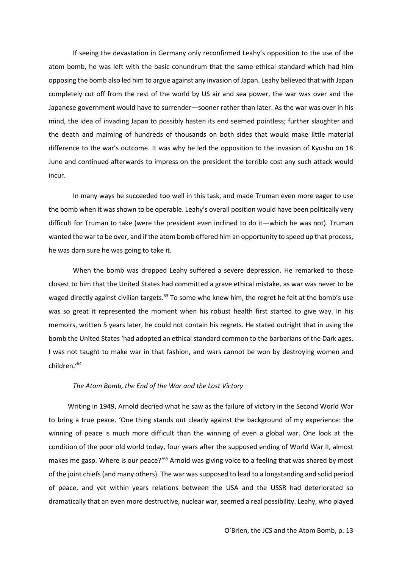If seeing the devastation in Germany only reconfirmed Leahy's opposition to the use of the atom bomb, he was left with the basic conundrum that the same ethical standard which had him opposing the bomb also led him to argue against any invasion of Japan. Leahy believed that with Japan completely cut off from the rest of the world by US air and sea power, the war was over and the Japanese government would have to surrender—sooner rather than later. As the war was over in his mind, the idea of invading Japan to possibly hasten its end seemed pointless; further slaughter and the death and maiming of hundreds of thousands on both sides that would make little material difference to the war's outcome. It was why he led the opposition to the invasion of Kyushu on 18 June and continued afterwards to impress on the president the terrible cost any such attack would incur.

In many ways he succeeded too well in this task, and made Truman even more eager to use the bomb when it was shown to be operable. Leahy's overall position would have been politically very difficult for Truman to take (were the president even inclined to do it—which he was not). Truman wanted the war to be over, and if the atom bomb offered him an opportunity to speed up that process, he was darn sure he was going to take it.

When the bomb was dropped Leahy suffered a severe depression. He remarked to those closest to him that the United States had committed a grave ethical mistake, as war was never to be waged directly against civilian targets.<sup>63</sup> To some who knew him, the regret he felt at the bomb's use was so great it represented the moment when his robust health first started to give way. In his memoirs, written 5 years later, he could not contain his regrets. He stated outright that in using the bomb the United States 'had adopted an ethical standard common to the barbarians of the Dark ages. I was not taught to make war in that fashion, and wars cannot be won by destroying women and children.'<sup>64</sup>

#### *The Atom Bomb, the End of the War and the Lost Victory*

Writing in 1949, Arnold decried what he saw as the failure of victory in the Second World War to bring a true peace. 'One thing stands out clearly against the background of my experience: the winning of peace is much more difficult than the winning of even a global war. One look at the condition of the poor old world today, four years after the supposed ending of World War II, almost makes me gasp. Where is our peace?'<sup>65</sup> Arnold was giving voice to a feeling that was shared by most of the joint chiefs (and many others). The war was supposed to lead to a longstanding and solid period of peace, and yet within years relations between the USA and the USSR had deteriorated so dramatically that an even more destructive, nuclear war, seemed a real possibility. Leahy, who played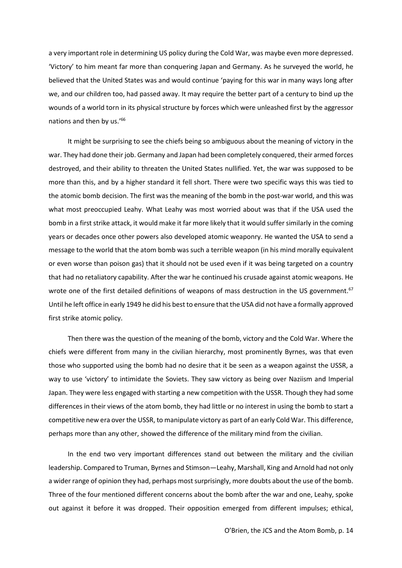a very important role in determining US policy during the Cold War, was maybe even more depressed. 'Victory' to him meant far more than conquering Japan and Germany. As he surveyed the world, he believed that the United States was and would continue 'paying for this war in many ways long after we, and our children too, had passed away. It may require the better part of a century to bind up the wounds of a world torn in its physical structure by forces which were unleashed first by the aggressor nations and then by us.'<sup>66</sup>

It might be surprising to see the chiefs being so ambiguous about the meaning of victory in the war. They had done their job. Germany and Japan had been completely conquered, their armed forces destroyed, and their ability to threaten the United States nullified. Yet, the war was supposed to be more than this, and by a higher standard it fell short. There were two specific ways this was tied to the atomic bomb decision. The first was the meaning of the bomb in the post-war world, and this was what most preoccupied Leahy. What Leahy was most worried about was that if the USA used the bomb in a first strike attack, it would make it far more likely that it would suffer similarly in the coming years or decades once other powers also developed atomic weaponry. He wanted the USA to send a message to the world that the atom bomb was such a terrible weapon (in his mind morally equivalent or even worse than poison gas) that it should not be used even if it was being targeted on a country that had no retaliatory capability. After the war he continued his crusade against atomic weapons. He wrote one of the first detailed definitions of weapons of mass destruction in the US government.<sup>67</sup> Until he left office in early 1949 he did his best to ensure that the USA did not have a formally approved first strike atomic policy.

Then there was the question of the meaning of the bomb, victory and the Cold War. Where the chiefs were different from many in the civilian hierarchy, most prominently Byrnes, was that even those who supported using the bomb had no desire that it be seen as a weapon against the USSR, a way to use 'victory' to intimidate the Soviets. They saw victory as being over Naziism and Imperial Japan. They were less engaged with starting a new competition with the USSR. Though they had some differences in their views of the atom bomb, they had little or no interest in using the bomb to start a competitive new era over the USSR, to manipulate victory as part of an early Cold War. This difference, perhaps more than any other, showed the difference of the military mind from the civilian.

In the end two very important differences stand out between the military and the civilian leadership. Compared to Truman, Byrnes and Stimson—Leahy, Marshall, King and Arnold had not only a wider range of opinion they had, perhaps most surprisingly, more doubts about the use of the bomb. Three of the four mentioned different concerns about the bomb after the war and one, Leahy, spoke out against it before it was dropped. Their opposition emerged from different impulses; ethical,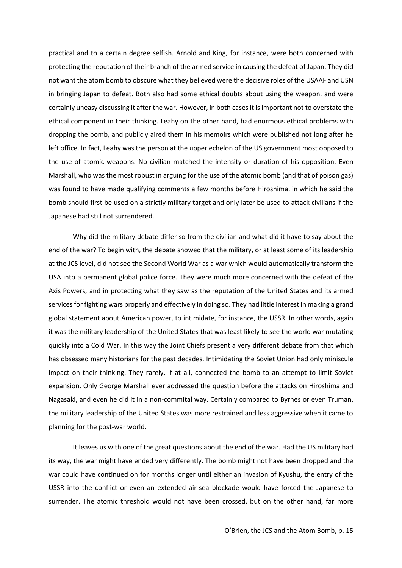practical and to a certain degree selfish. Arnold and King, for instance, were both concerned with protecting the reputation of their branch of the armed service in causing the defeat of Japan. They did not want the atom bomb to obscure what they believed were the decisive roles of the USAAF and USN in bringing Japan to defeat. Both also had some ethical doubts about using the weapon, and were certainly uneasy discussing it after the war. However, in both cases it is important not to overstate the ethical component in their thinking. Leahy on the other hand, had enormous ethical problems with dropping the bomb, and publicly aired them in his memoirs which were published not long after he left office. In fact, Leahy was the person at the upper echelon of the US government most opposed to the use of atomic weapons. No civilian matched the intensity or duration of his opposition. Even Marshall, who was the most robust in arguing for the use of the atomic bomb (and that of poison gas) was found to have made qualifying comments a few months before Hiroshima, in which he said the bomb should first be used on a strictly military target and only later be used to attack civilians if the Japanese had still not surrendered.

Why did the military debate differ so from the civilian and what did it have to say about the end of the war? To begin with, the debate showed that the military, or at least some of its leadership at the JCS level, did not see the Second World War as a war which would automatically transform the USA into a permanent global police force. They were much more concerned with the defeat of the Axis Powers, and in protecting what they saw as the reputation of the United States and its armed services for fighting wars properly and effectively in doing so. They had little interest in making a grand global statement about American power, to intimidate, for instance, the USSR. In other words, again it was the military leadership of the United States that was least likely to see the world war mutating quickly into a Cold War. In this way the Joint Chiefs present a very different debate from that which has obsessed many historians for the past decades. Intimidating the Soviet Union had only miniscule impact on their thinking. They rarely, if at all, connected the bomb to an attempt to limit Soviet expansion. Only George Marshall ever addressed the question before the attacks on Hiroshima and Nagasaki, and even he did it in a non-commital way. Certainly compared to Byrnes or even Truman, the military leadership of the United States was more restrained and less aggressive when it came to planning for the post-war world.

It leaves us with one of the great questions about the end of the war. Had the US military had its way, the war might have ended very differently. The bomb might not have been dropped and the war could have continued on for months longer until either an invasion of Kyushu, the entry of the USSR into the conflict or even an extended air-sea blockade would have forced the Japanese to surrender. The atomic threshold would not have been crossed, but on the other hand, far more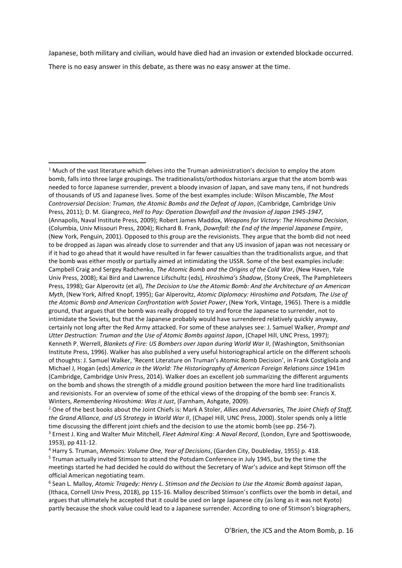Japanese, both military and civilian, would have died had an invasion or extended blockade occurred. There is no easy answer in this debate, as there was no easy answer at the time.

**.** 

<sup>2</sup> One of the best books about the Joint Chiefs is: Mark A Stoler, *Allies and Adversaries, The Joint Chiefs of Staff, the Grand Alliance, and US Strategy in World War II*, (Chapel Hill, UNC Press, 2000). Stoler spends only a little time discussing the different joint chiefs and the decision to use the atomic bomb (see pp. 256-7). <sup>3</sup> Ernest J. King and Walter Muir Mitchell, *Fleet Admiral King: A Naval Record*, (London, Eyre and Spottiswoode, 1953), pp 411-12.

<sup>4</sup> Harry S. Truman, *Memoirs: Volume One, Year of Decisions*, (Garden City, Doubleday, 1955) p. 418. <sup>5</sup> Truman actually invited Stimson to attend the Potsdam Conference in July 1945, but by the time the meetings started he had decided he could do without the Secretary of War's advice and kept Stimson off the official American negotiating team.

<sup>6</sup> Sean L. Malloy, Atomic Tragedy: Henry L. Stimson and the Decision to Use the Atomic Bomb against Japan, (Ithaca, Cornell Univ Press, 2018), pp 115-16. Malloy described Stimson's conflicts over the bomb in detail, and argues that ultimately he accepted that it could be used on large Japanese city (as long as it was not Kyoto) partly because the shock value could lead to a Japanese surrender. According to one of Stimson's biographers,

<sup>&</sup>lt;sup>1</sup> Much of the vast literature which delves into the Truman administration's decision to employ the atom bomb, falls into three large groupings. The traditionalists/orthodox historians argue that the atom bomb was needed to force Japanese surrender, prevent a bloody invasion of Japan, and save many tens, if not hundreds of thousands of US and Japanese lives. Some of the best examples include: Wilson Miscamble, *The Most Controversial Decision: Truman, the Atomic Bombs and the Defeat of Japan*, (Cambridge, Cambridge Univ Press, 2011); D. M. Giangreco, *Hell to Pay: Operation Downfall and the Invasion of Japan 1945-1947*, (Annapolis, Naval Institute Press, 2009); Robert James Maddox, *Weapons for Victory: The Hiroshima Decision*, (Columbia, Univ Missouri Press, 2004); Richard B. Frank, *Downfall: the End of the Imperial Japanese Empire*, (New York, Penguin, 2001). Opposed to this group are the revisionists. They argue that the bomb did not need to be dropped as Japan was already close to surrender and that any US invasion of japan was not necessary or if it had to go ahead that it would have resulted in far fewer casualties than the traditionalists argue, and that the bomb was either mostly or partially aimed at intimidating the USSR. Some of the best examples include: Campbell Craig and Sergey Radchenko, *The Atomic Bomb and the Origins of the Cold War*, (New Haven, Yale Univ Press, 2008); Kai Bird and Lawrence Lifschultz (eds), *Hiroshima's Shadow*, (Stony Creek, The Pamphleteers Press, 1998); Gar Alperovitz (et al), *The Decision to Use the Atomic Bomb: And the Architecture of an American Myth*, (New York, Alfred Knopf, 1995); Gar Alperovitz, *Atomic Diplomacy: Hiroshima and Potsdam, The Use of the Atomic Bomb and American Confrontation with Soviet Power*, (New York, Vintage, 1965). There is a middle ground, that argues that the bomb was really dropped to try and force the Japanese to surrender, not to intimidate the Soviets, but that the Japanese probably would have surrendered relatively quickly anyway, certainly not long after the Red Army attacked. For some of these analyses see: J. Samuel Walker, *Prompt and Utter Destruction: Truman and the Use of Atomic Bombs against Japan*, (Chapel Hill, UNC Press, 1997); Kenneth P. Werrell, *Blankets of Fire: US Bombers over Japan during World War II*, (Washington, Smithsonian Institute Press, 1996). Walker has also published a very useful historiographical article on the different schools of thoughts: J. Samuel Walker, 'Recent Literature on Truman's Atomic Bomb Decision', in Frank Costigliola and Michael J, Hogan (eds) *America in the World: The Historiography of American Foreign Relations since* 1941m (Cambridge, Cambridge Univ Press, 2014). Walker does an excellent job summarizing the different arguments on the bomb and shows the strength of a middle ground position between the more hard line traditionalists and revisionists. For an overview of some of the ethical views of the dropping of the bomb see: Francis X. Winters, *Remembering Hiroshima: Was it Just*, (Farnham, Ashgate, 2009).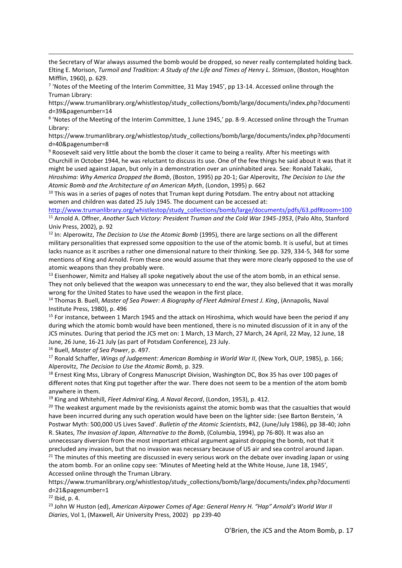the Secretary of War always assumed the bomb would be dropped, so never really contemplated holding back. Elting E. Morison, *Turmoil and Tradition: A Study of the Life and Times of Henry L. Stimson*, (Boston, Houghton Mifflin, 1960), p. 629.

<sup>7</sup> 'Notes of the Meeting of the Interim Committee, 31 May 1945', pp 13-14. Accessed online through the Truman Library:

https://www.trumanlibrary.org/whistlestop/study\_collections/bomb/large/documents/index.php?documenti d=39&pagenumber=14

8 'Notes of the Meeting of the Interim Committee, 1 June 1945,' pp. 8-9. Accessed online through the Truman Library:

https://www.trumanlibrary.org/whistlestop/study\_collections/bomb/large/documents/index.php?documenti d=40&pagenumber=8

<sup>9</sup> Roosevelt said very little about the bomb the closer it came to being a reality. After his meetings with Churchill in October 1944, he was reluctant to discuss its use. One of the few things he said about it was that it might be used against Japan, but only in a demonstration over an uninhabited area. See: Ronald Takaki, *Hiroshima: Why America Dropped the Bomb*, (Boston, 1995) pp 20-1; Gar Alperovitz, *The Decision to Use the Atomic Bomb and the Architecture of an American Myth*, (London, 1995) p. 662

 $10$  This was in a series of pages of notes that Truman kept during Potsdam. The entry about not attacking women and children was dated 25 July 1945. The document can be accessed at:

[http://www.trumanlibrary.org/whistlestop/study\\_collections/bomb/large/documents/pdfs/63.pdf#zoom=100](http://www.trumanlibrary.org/whistlestop/study_collections/bomb/large/documents/pdfs/63.pdf#zoom=100) <sup>11</sup> Arnold A. Offner, *Another Such Victory: President Truman and the Cold War 1945-1953*, (Palo Alto, Stanford Univ Press, 2002), p. 92

<sup>12</sup> In: Alperowitz, *The Decision to Use the Atomic Bomb* (1995), there are large sections on all the different military personalities that expressed some opposition to the use of the atomic bomb. It is useful, but at times lacks nuance as it ascribes a rather one dimensional nature to their thinking. See pp. 329, 334-5, 348 for some mentions of King and Arnold. From these one would assume that they were more clearly opposed to the use of atomic weapons than they probably were.

<sup>13</sup> Eisenhower, Nimitz and Halsey all spoke negatively about the use of the atom bomb, in an ethical sense. They not only believed that the weapon was unnecessary to end the war, they also believed that it was morally wrong for the United States to have used the weapon in the first place.

<sup>14</sup> Thomas B. Buell, *Master of Sea Power: A Biography of Fleet Admiral Ernest J. King*, (Annapolis, Naval Institute Press, 1980), p. 496

<sup>15</sup> For instance, between 1 March 1945 and the attack on Hiroshima, which would have been the period if any during which the atomic bomb would have been mentioned, there is no minuted discussion of it in any of the JCS minutes. During that period the JCS met on: 1 March, 13 March, 27 March, 24 April, 22 May, 12 June, 18 June, 26 June, 16-21 July (as part of Potsdam Conference), 23 July.

<sup>16</sup> Buell, *Master of Sea Power*, p. 497.

<sup>17</sup> Ronald Schaffer, *Wings of Judgement: American Bombing in World War II*, (New York, OUP, 1985), p. 166; Alperovitz, *The Decision to Use the Atomic Bomb,* p. 329.

<sup>18</sup> Ernest King Mss, Library of Congress Manuscript Division, Washington DC, Box 35 has over 100 pages of different notes that King put together after the war. There does not seem to be a mention of the atom bomb anywhere in them.

<sup>19</sup> King and Whitehill, *Fleet Admiral King, A Naval Record*, (London, 1953), p. 412.

 $20$  The weakest argument made by the revisionists against the atomic bomb was that the casualties that would have been incurred during any such operation would have been on the lighter side: (see Barton Berstein, 'A Postwar Myth: 500,000 US Lives Saved'. *Bulletin of the Atomic Scientists*, #42, (June/July 1986), pp 38-40; John R. Skates, *The Invasion of Japan, Alternative to the Bomb*, (Columbia, 1994), pp 76-80). It was also an unnecessary diversion from the most important ethical argument against dropping the bomb, not that it precluded any invasion, but that no invasion was necessary because of US air and sea control around Japan. <sup>21</sup> The minutes of this meeting are discussed in every serious work on the debate over invading Japan or using

the atom bomb. For an online copy see: 'Minutes of Meeting held at the White House, June 18, 1945', Accessed online through the Truman Library.

https://www.trumanlibrary.org/whistlestop/study\_collections/bomb/large/documents/index.php?documenti d=21&pagenumber=1

 $22$  Ibid, p. 4.

1

<sup>23</sup> John W Huston (ed), *American Airpower Comes of Age: General Henry H. "Hap" Arnold's World War II Diaries*, Vol 1, (Maxwell, Air University Press, 2002) pp 239-40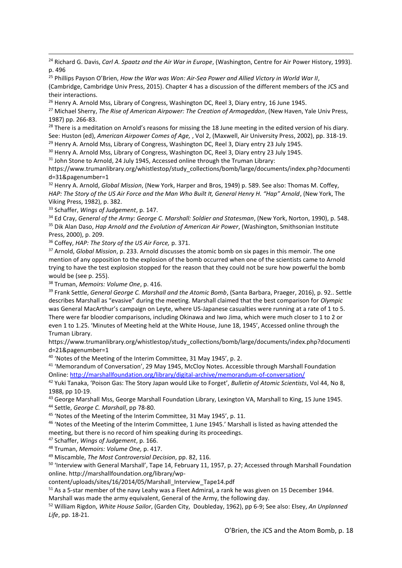<sup>24</sup> Richard G. Davis, *Carl A. Spaatz and the Air War in Europe*, (Washington, Centre for Air Power History, 1993). p. 496

<sup>25</sup> Phillips Payson O'Brien, *How the War was Won: Air-Sea Power and Allied Victory in World War II*, (Cambridge, Cambridge Univ Press, 2015). Chapter 4 has a discussion of the different members of the JCS and their interactions.

<sup>26</sup> Henry A. Arnold Mss, Library of Congress, Washington DC, Reel 3, Diary entry, 16 June 1945.

<sup>27</sup> Michael Sherry, *The Rise of American Airpower: The Creation of Armageddon*, (New Haven, Yale Univ Press, 1987) pp. 266-83.

<sup>28</sup> There is a meditation on Arnold's reasons for missing the 18 June meeting in the edited version of his diary. See: Huston (ed), *American Airpower Comes of Age,* , Vol 2, (Maxwell, Air University Press, 2002), pp. 318-19.

<sup>29</sup> Henry A. Arnold Mss, Library of Congress, Washington DC, Reel 3, Diary entry 23 July 1945.

<sup>30</sup> Henry A. Arnold Mss, Library of Congress, Washington DC, Reel 3, Diary entry 23 July 1945.

 $31$  John Stone to Arnold, 24 July 1945, Accessed online through the Truman Library:

https://www.trumanlibrary.org/whistlestop/study\_collections/bomb/large/documents/index.php?documenti d=31&pagenumber=1

<sup>32</sup> Henry A. Arnold, *Global Mission*, (New York, Harper and Bros, 1949) p. 589. See also: Thomas M. Coffey, *HAP: The Story of the US Air Force and the Man Who Built It, General Henry H. "Hap" Arnold*, (New York, The Viking Press, 1982), p. 382.

<sup>33</sup> Schaffer, *Wings of Judgement*, p. 147.

1

<sup>34</sup> Ed Cray, *General of the Army: George C. Marshall: Soldier and Statesman*, (New York, Norton, 1990), p. 548. <sup>35</sup> Dik Alan Daso, *Hap Arnold and the Evolution of American Air Power*, (Washington, Smithsonian Institute Press, 2000), p. 209.

<sup>36</sup> Coffey, *HAP: The Story of the US Air Force,* p. 371.

<sup>37</sup> Arnold, *Global Mission*, p. 233. Arnold discusses the atomic bomb on six pages in this memoir. The one mention of any opposition to the explosion of the bomb occurred when one of the scientists came to Arnold trying to have the test explosion stopped for the reason that they could not be sure how powerful the bomb would be (see p. 255).

<sup>38</sup> Truman, *Memoirs: Volume One*, p. 416.

<sup>39</sup> Frank Settle, *General George C. Marshall and the Atomic Bomb*, (Santa Barbara, Praeger, 2016), p. 92.. Settle describes Marshall as "evasive" during the meeting. Marshall claimed that the best comparison for *Olympic* was General MacArthur's campaign on Leyte, where US-Japanese casualties were running at a rate of 1 to 5. There were far bloodier comparisons, including Okinawa and Iwo Jima, which were much closer to 1 to 2 or even 1 to 1.25. 'Minutes of Meeting held at the White House, June 18, 1945', Accessed online through the Truman Library.

https://www.trumanlibrary.org/whistlestop/study\_collections/bomb/large/documents/index.php?documenti d=21&pagenumber=1

<sup>40</sup> 'Notes of the Meeting of the Interim Committee, 31 May 1945', p. 2.

<sup>41</sup> 'Memorandum of Conversation', 29 May 1945, McCloy Notes. Accessible through Marshall Foundation Online[: http://marshallfoundation.org/library/digital-archive/memorandum-of-conversation/](http://marshallfoundation.org/library/digital-archive/memorandum-of-conversation/)

<sup>42</sup> Yuki Tanaka, 'Poison Gas: The Story Japan would Like to Forget', *Bulletin of Atomic Scientists*, Vol 44, No 8, 1988, pp 10-19.

<sup>43</sup> George Marshall Mss, George Marshall Foundation Library, Lexington VA, Marshall to King, 15 June 1945.

<sup>44</sup> Settle, *George C. Marshall*, pp 78-80.

<sup>45</sup> 'Notes of the Meeting of the Interim Committee, 31 May 1945', p. 11.

<sup>46</sup> 'Notes of the Meeting of the Interim Committee, 1 June 1945.' Marshall is listed as having attended the meeting, but there is no record of him speaking during its proceedings.

<sup>47</sup> Schaffer, *Wings of Judgement*, p. 166.

<sup>48</sup> Truman, *Memoirs: Volume One,* p. 417.

<sup>49</sup> Miscamble, *The Most Controversial Decision*, pp. 82, 116.

<sup>50</sup> 'Interview with General Marshall', Tape 14, February 11, 1957, p. 27; Accessed through Marshall Foundation online. http://marshallfoundation.org/library/wp-

content/uploads/sites/16/2014/05/Marshall\_Interview\_Tape14.pdf

<sup>51</sup> As a 5-star member of the navy Leahy was a Fleet Admiral, a rank he was given on 15 December 1944.

Marshall was made the army equivalent, General of the Army, the following day.

<sup>52</sup> William Rigdon, *White House Sailor*, (Garden City, Doubleday, 1962), pp 6-9; See also: Elsey, *An Unplanned Life*, pp. 18-21.